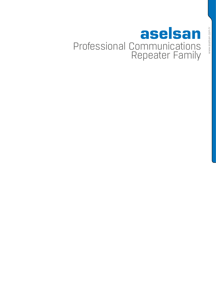# aselsan Professional Communications Repeater Family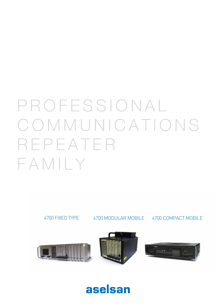# PROFESSIONAL COMMUNICATIONS REPEATER FAMILY



aselsan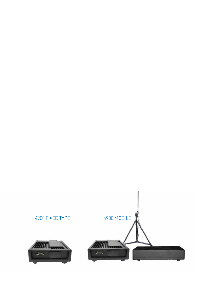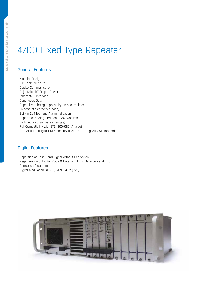# 4700 Fixed Type Repeater

#### General Features

- • Modular Design
- 19" Rack Structure
- • Duplex Communication
- • Adjustable RF Output Power
- Ethernet/IP Interface
- Continuous Duty
- • Capability of being supplied by an accumulator (in case of electricity outage)
- • Built-in Self Test and Alarm Indication
- • Support of Analog, DMR and P25 Systems (with required software changes)
- • Full Compatibility with ETSI 300-086 (Analog),
- ETSI 300-113 (Digital:DMR) and TIA-102.CAAB-D (Digital:P25) standards

#### Digital Features

- Repetition of Base Band Signal without Decryption
- Regeneration of Digital Voice & Data with Error Detection and Error Correction Algorithms
- • Digital Modulation: 4FSK (DMR), C4FM (P25)

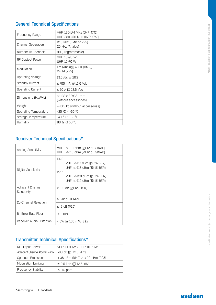| Frequency Range           | VHF: 136-174 MHz (D/R 4741)<br>UHF: 380-470 MHz (D/R 4745) |
|---------------------------|------------------------------------------------------------|
| <b>Channel Seperation</b> | 12.5 kHz (DMR or P25)<br>25 kHz (Analog)                   |
| Number Of Channels        | 99 (Programmable)                                          |
| RF Ouptput Power          | VHF: 10-90 W<br>UHF: 10-70 W                               |
| Modulation                | FM (Analog), 4FSK (DMR),<br>C4FM (P25)                     |
| Operating Voltage         | $13.6$ Vdc $\pm 20%$                                       |
| <b>Standby Current</b>    | ≤700 mA @ 13.6 Vdc                                         |
| <b>Operating Current</b>  | ≤20 A @ 13.6 Vdc                                           |
| Dimensions (HxWxL)        | $\approx$ 133x482x361 mm<br>(without accessories)          |
| Weight                    | $\approx$ 10.5 kg (without accessories)                    |
| Operating Temperature     | $-30$ °C / +60 °C                                          |
| Storage Temperature       | -40 °C / +85 °C                                            |
| Humidity                  | 90 % @ 50 °C                                               |

# Receiver Technical Specifications\*

| Analog Sensitivity              | $VHF: \leq-119$ dBm (@ 12 dB SINAD)<br>UHF : $\le$ -118 dBm ( $\textcircled{a}$ 12 dB SINAD)                                                           |
|---------------------------------|--------------------------------------------------------------------------------------------------------------------------------------------------------|
| Digital Sensitivity             | DMR:<br>$VHF: ≤-117$ dBm (@ 1% BER)<br>UHF: $\le$ -116 dBm (@ 1% BER)<br>P <sub>25</sub> :<br>$VHF: ≤-120$ dBm (@ 1% BER)<br>UHF: ≤-119 dBm (@ 1% BER) |
| Adjacent Channel<br>Selectivity | $\geq 60$ dB ( $\textcircled{12.5}$ kHz)                                                                                                               |
| Co-Channel Rejection            | $\ge$ -12 dB (DMR)<br>$\leq$ 9 dB (P25)                                                                                                                |
| Bit Error Rate Floor            | $\leq 0.01\%$                                                                                                                                          |
| Receiver Audio Distortion       | $<$ 5% (@ 100 mW, 8 Ω)                                                                                                                                 |

### Transmitter Technical Specifications\*

| RF Output Power              | $VHF: 10-90W / UHF: 10-70W$     |
|------------------------------|---------------------------------|
| Adjacent Channel Power Ratio | >60 dB (@ 12.5 kHz)             |
| Spurious Emissions           | <-36 dBm (DMR) / <-20 dBm (P25) |
| Modulation Limiting          | ± 2.5 kHz (@ 12.5 kHz)          |
| <b>Frequency Stability</b>   | $\leq 0.5$ ppm                  |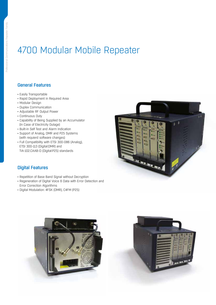# 4700 Modular Mobile Repeater

#### General Features

- Easily Transportable
- • Rapid Deployment in Required Area
- • Modular Design
- • Duplex Communication
- • Adjustable RF Output Power
- • Continuous Duty
- • Capability of Being Supplied by an Accumulator (In Case of Electricity Outage)
- Built-in Self Test and Alarm Indication
- • Support of Analog, DMR and P25 Systems (with requierd software changes)
- Full Compatibility with ETSI 300-086 (Analog), ETSI 300-113 (Digital:DMR) and TIA-102.CAAB-D (Digital:P25) standards



#### Digital Features

- Repetition of Base Band Signal without Decryption
- Regeneration of Digital Voice & Data with Error Detection and Error Correction Algorithms
- • Digital Modulation: 4FSK (DMR), C4FM (P25)



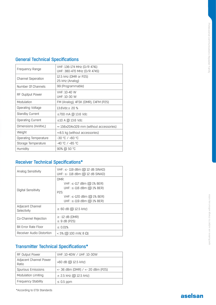| Frequency Range           | VHF: 136-174 MHz (D/R 4741)<br>UHF: 380-470 MHz (D/R 4745) |
|---------------------------|------------------------------------------------------------|
| <b>Channel Seperation</b> | 12.5 kHz (DMR or P25)<br>25 kHz (Analog)                   |
| Number Of Channels        | 99 (Programmable)                                          |
| RF Ouptput Power          | VHF: 10-40 W<br>UHF: 10-30 W                               |
| Modulation                | FM (Analog), 4FSK (DMR), C4FM (P25)                        |
| Operating Voltage         | $13.6$ Vdc $\pm$ 20 %                                      |
| <b>Standby Current</b>    | $\leq$ 700 mA @ 13.6 Vdc                                   |
| <b>Operating Current</b>  | $\leq$ 10 A @ 13.6 Vdc                                     |
| Dimensions (HxWxL)        | $\approx$ 156x204x329 mm (without accessories)             |
| Weight                    | $\approx$ 8.5 kg (without accessories)                     |
| Operating Temperature     | -30 °C / +60 °C                                            |
| Storage Temperature       | $-40$ °C / $+85$ °C                                        |
| Humidity                  | 90% @ 50 °C                                                |

# Receiver Technical Specifications\*

| Analog Sensitivity              | VHF: ≤- 119 dBm (@ 12 dB SINAD)<br>UHF: $\leq$ -118 dBm (@ 12 dB SINAD)                                                                    |
|---------------------------------|--------------------------------------------------------------------------------------------------------------------------------------------|
| Digital Sensitivity             | DMR:<br>$VHF: ≤ -117$ dBm (@ 1% BER)<br>UHF: ≤-116 dBm (@ 1% BER)<br>P25:<br>$VHF: ≤-120$ dBm (@ 1% BER)<br>UHF: $\le$ -119 dBm (@ 1% BER) |
| Adjacent Channel<br>Selectivity | $\geq 60$ dB ( $\textcircled{12.5}$ kHz)                                                                                                   |
| Co-Channel Rejection            | $\ge$ -12 dB (DMR)<br>$\leq$ 9 dB (P25)                                                                                                    |
| Bit Error Rate Floor            | $\leq 0.01\%$                                                                                                                              |
| Receiver Audio Distortion       | $<$ 5% (@ 100 mW, 8 $\Omega$ )                                                                                                             |

### Transmitter Technical Specifications\*

| RF Output Power                 | VHF: 10-40W / UHF: 10-30W                   |
|---------------------------------|---------------------------------------------|
| Adjacent Channel Power<br>Ratio | >60 dB (@ 12.5 kHz)                         |
| Spurious Emissions              | <- 36 dBm (DMR) / <- 20 dBm (P25)           |
| Modulation Limiting             | $\pm$ 2.5 kHz ( $\textcircled{a}$ 12.5 kHz) |
| <b>Frequency Stability</b>      | $\leq 0.5$ ppm                              |

\*According to ETSI Standards

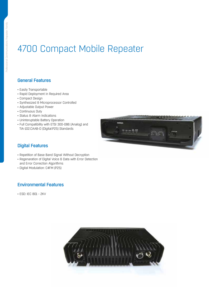# 4700 Compact Mobile Repeater

#### General Features

- Easily Transportable
- Rapid Deployment in Required Area
- • Compact Design
- • Synthesized & Microprocessor Controlled
- • Adjustable Output Power
- Continuous Duty
- Status & Alarm Indications
- • Uninteruptable Battery Operation
- • Full Compatibility with ETSI 300-086 (Analog) and TIA-102.CAAB-D (Digital:P25) Standards



#### Digital Features

- Repetition of Base Band Signal Without Decryption
- Regenaration of Digital Voice & Data with Error Detection and Error Correction Algorithms
- • Digital Modulation: C4FM (P25)

#### Environmental Features

• ESD: IEC 801 - 2KV

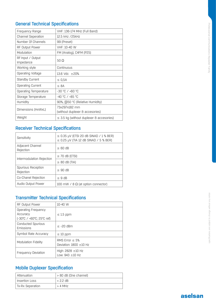| Frequency Range                | VHF: 136-174 MHz (Full Band)                     |
|--------------------------------|--------------------------------------------------|
| <b>Channel Seperation</b>      | 12.5 kHz /25kHz                                  |
| Number Of Channels             | 99 (Preset)                                      |
| RF Output Power                | VHF: 10-40 W                                     |
| Modulation                     | FM (Analog), C4FM (P25)                          |
| RF Input / Output<br>Impedance | 50 $\Omega$                                      |
| Working style                  | Continuous                                       |
| Operating Voltage              | 13.6 Vdc $\pm 20\%$                              |
| <b>Standby Current</b>         | ≤ 0,5A                                           |
| <b>Operating Current</b>       | $\leq$ 8A                                        |
| Operating Temperature          | -30 °C / +60 °C                                  |
| Storage Temperature            | -40 °C / +85 °C                                  |
| Humidity                       | 90%, @50 °C (Relative Humidity)                  |
| Dimensions (HxWxL)             | 73x297x182 mm<br>(without duplexer & accesories) |
| Weight                         | $\leq$ 3.5 kg (without duplexer & accesories)    |

### Receiver Technical Specifications

| Sensitivity                     | $\leq$ 0.35 µV (ETSI 20 dB SINAD / 1 % BER)<br>$\leq$ 0.25 µV (TIA 12 dB SINAD / 5 % BER) |
|---------------------------------|-------------------------------------------------------------------------------------------|
| Adjacent Channel<br>Rejection   | $\geq 60$ dB                                                                              |
| Intermodulation Rejection       | $\geq$ 70 dB (ETSI)                                                                       |
|                                 | $\geq$ 80 dB (TIA)                                                                        |
| Spurious Reception<br>Rejection | $\geq 90$ dB                                                                              |
| Co-Chanel Rejection             | $\leq$ 9 dB                                                                               |
| Audio Output Power              | 100 mW / $8 \Omega$ (at option connector)                                                 |

# Transmitter Technical Specifications

| <b>RF Output Power</b>                                      | 10-40 W                                         |
|-------------------------------------------------------------|-------------------------------------------------|
| Operating Frequency<br>Accuracy<br>f-30℃ / +60°C: 25°C reft | $\leq$ 1.5 ppm                                  |
| Conducted Spurious<br>Emissions                             | $<$ -20 dBm                                     |
| Symbol Rate Accuracy                                        | $\leq 10$ ppm                                   |
| Modulation Fidelity                                         | RMS Frror $<$ 5%<br>Deviation: $1800 \pm 10$ Hz |
| <b>Frequency Deviation</b>                                  | High: $2828 \pm 10$ Hz<br>Low: $943 \pm 10$ Hz  |

#### Mobile Duplexer Specification

| Attenuation      | > 80 dB (One channel) |
|------------------|-----------------------|
| Insertion Loss   | $< 2.2$ dB            |
| Tx-Rx Seperation | $> 4$ MHz             |

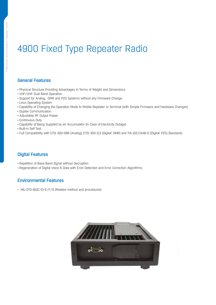# 4900 Fixed Type Repeater Radio

#### General Features

- Physical Structure Providing Advantages In Terms of Weight and Dimensions
- VHF/UHF Dual Band Operation
- Support for Analog, DMR and P25 Systems without any Firmware Change
- Linux Operating System
- Capability of Changing the Operation Mode to Mobile Repeater or Terminal (with Simple Firmware and Hardware Changes)
- Duplex Communication
- Adjustable RF Output Power
- Continuous Duty
- Capability of Being Supplied by an Accumulator (In Case of Electricity Outage)
- Built-in Self Test
- Full Compatibility with ETSI 300-086 (Analog), ETSI 300-113 (Digital: DMR) and TIA-102.CAAB-D (Digital: P25) Standards

#### Digital Features

- Repetition of Base Band Signal without Decryption
- Regeneration of Digital Voice & Data with Error Detection and Error Correction Algorithms

#### Environmental Features

• MIL-STD-810C/D/E/F/G (Related method and procedures)

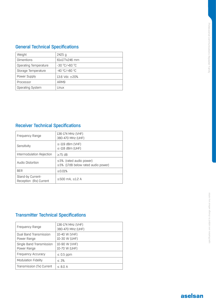| Weight                  | $2425$ g            |
|-------------------------|---------------------|
| <b>Dimentions</b>       | 61x177x246 mm       |
| Operating Temperature   | -30 °C/+60 °C       |
| Storage Temperature     | $-40 °C/+80 °C$     |
| Power Supply            | 13.6 Vdc $\pm 20\%$ |
| Processor               | ARM9                |
| <b>Operating System</b> | Linux               |

### Receiver Technical Specifications

| Frequency Range                             | 136-174 MHz (VHF)<br>380-470 MHz (UHF)                                    |
|---------------------------------------------|---------------------------------------------------------------------------|
| Sensitivity                                 | $\le$ -119 dBm (VHF)<br>$\le$ -118 dBm (UHF)                              |
| Intermodulation Rejection                   | $>75$ dB                                                                  |
| Audio Distortion                            | $\leq$ 5% (rated audio power)<br>$\leq$ 5% (17dB below rated audio power) |
| <b>BFR</b>                                  | $\leq 0.01\%$                                                             |
| Stand-by Current-<br>Reception (Rx) Current | ≤500 mA, $≤1.2$ A                                                         |

# Transmitter Technical Specifications

| Frequency Range                         | 136-174 MHz (VHF)<br>380-470 MHz (UHF) |
|-----------------------------------------|----------------------------------------|
| Dual Band Transmission<br>Power Range   | 10-40 W (VHF)<br>10-30 W (UHF)         |
| Single Band Transmission<br>Power Range | 10-90 W (VHF)<br>10-70 W (UHF)         |
| Frequency Accuracy                      | $\leq 0.5$ ppm                         |
| <b>Modulation Fidelity</b>              | $\leq 3\%$                             |
| Transmission (Tx) Current               | $\leq$ 8.0 A                           |

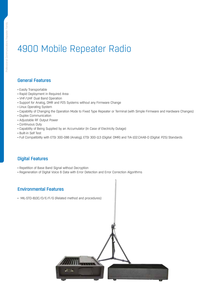# 4900 Mobile Repeater Radio

#### General Features

- Easily Transportable
- Rapid Deployment in Required Area
- VHF/UHF Dual Band Operation
- Support for Analog, DMR and P25 Systems without any Firmware Change
- Linux Operating System
- Capability of Changing the Operation Mode to Fixed Type Repeater or Terminal (with Simple Firmware and Hardware Changes)
- Duplex Communication
- Adjustable RF Output Power
- Continuous Duty
- Capability of Being Supplied by an Accumulator (In Case of Electricity Outage)
- Built-in Self Test
- Full Compatibility with ETSI 300-086 (Analog), ETSI 300-113 (Digital: DMR) and TIA-102.CAAB-D (Digital: P25) Standards

#### Digital Features

- Repetition of Base Band Signal without Decryption
- Regeneration of Digital Voice & Data with Error Detection and Error Correction Algorithms

#### Environmental Features

• MIL-STD-810C/D/E/F/G (Related method and procedures)

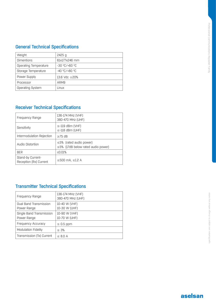| Weight                  | 2425 a              |
|-------------------------|---------------------|
| <b>Dimentions</b>       | 61x177x246 mm       |
| Operating Temperature   | -30 °C/+60 °C       |
| Storage Temperature     | $-40 °C/+80 °C$     |
| Power Supply            | 13.6 Vdc $\pm 20\%$ |
| Processor               | ARM9                |
| <b>Operating System</b> | Linux               |

# Receiver Technical Specifications

| Frequency Range                             | 136-174 MHz (VHF)<br>380-470 MHz (UHF)                                    |
|---------------------------------------------|---------------------------------------------------------------------------|
| Sensitivity                                 | $\le$ -119 dBm (VHF)<br>$\le$ -118 dBm (UHF)                              |
| Intermodulation Rejection                   | $>75$ dB                                                                  |
| Audio Distortion                            | $\leq$ 5% (rated audio power)<br>$\leq$ 5% (17dB below rated audio power) |
| <b>BER</b>                                  | < 0.01%                                                                   |
| Stand-by Current-<br>Reception (Rx) Current | ≤500 mA, $≤1.2$ A                                                         |

# Transmitter Technical Specifications

| Frequency Range                         | 136-174 MHz (VHF)<br>380-470 MHz (UHF) |
|-----------------------------------------|----------------------------------------|
| Dual Band Transmission<br>Power Range   | 10-40 W (VHF)<br>10-30 W (UHF)         |
| Single Band Transmission<br>Power Range | 10-90 W (VHF)<br>10-70 W (UHF)         |
| Frequency Accuracy                      | $\leq 0.5$ ppm                         |
| Modulation Fidelity                     | $\leq 3\%$                             |
| Transmission (Tx) Current               | $\leq$ 8.0 A                           |

specifications are subject to change without any notice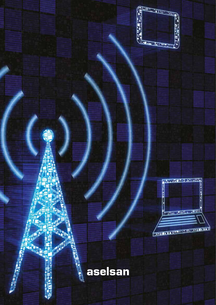



# **SEP AND AND ADDRESS** aselsan

**Legislation** 

ŗ

**HEAD**